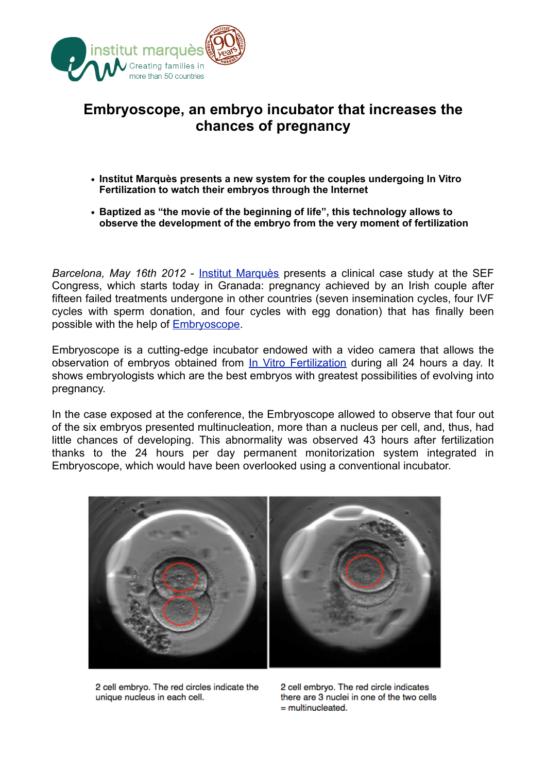

## **Embryoscope, an embryo incubator that increases the chances of pregnancy**

- **• Institut Marquès presents a new system for the couples undergoing In Vitro Fertilization to watch their embryos through the Internet**
- **• Baptized as "the movie of the beginning of life", this technology allows to observe the development of the embryo from the very moment of fertilization**

*Barcelona, May 16th 2012 - [Institut Marquès](http://www.institutmarques.com/) presents a clinical case study at the SEF* Congress, which starts today in Granada: pregnancy achieved by an Irish couple after fifteen failed treatments undergone in other countries (seven insemination cycles, four IVF cycles with sperm donation, and four cycles with egg donation) that has finally been possible with the help of [Embryoscope](http://www.institutmarques.com/embryoscope.html).

Embryoscope is a cutting-edge incubator endowed with a video camera that allows the observation of embryos obtained from [In Vitro Fertilization](http://www.institutmarques.com/the-ivf-laboratory.html) during all 24 hours a day. It shows embryologists which are the best embryos with greatest possibilities of evolving into pregnancy.

In the case exposed at the conference, the Embryoscope allowed to observe that four out of the six embryos presented multinucleation, more than a nucleus per cell, and, thus, had little chances of developing. This abnormality was observed 43 hours after fertilization thanks to the 24 hours per day permanent monitorization system integrated in Embryoscope, which would have been overlooked using a conventional incubator.



2 cell embryo. The red circles indicate the unique nucleus in each cell.

2 cell embryo. The red circle indicates there are 3 nuclei in one of the two cells  $=$  multinucleated.